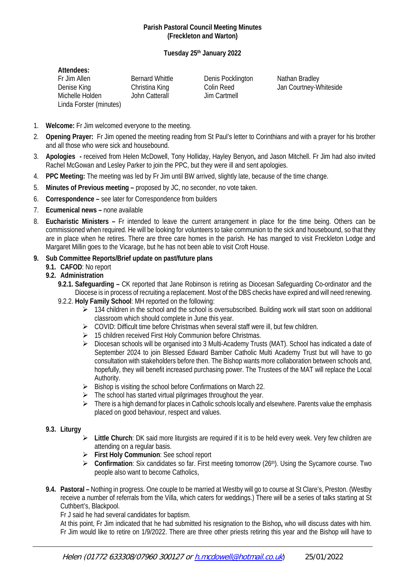#### **Parish Pastoral Council Meeting Minutes (Freckleton and Warton)**

## **Tuesday 25th January 2022**

| Attendees:              |                        |                   |                        |
|-------------------------|------------------------|-------------------|------------------------|
| Fr Jim Allen            | <b>Bernard Whittle</b> | Denis Pocklington | Nathan Bradley         |
| Denise King             | Christina King         | Colin Reed        | Jan Courtney-Whiteside |
| Michelle Holden         | John Catterall         | Jim Cartmell      |                        |
| Linda Forster (minutes) |                        |                   |                        |

- 1. **Welcome:** Fr Jim welcomed everyone to the meeting.
- 2. **Opening Prayer:** Fr Jim opened the meeting reading from St Paul's letter to Corinthians and with a prayer for his brother and all those who were sick and housebound.
- 3. **Apologies -** received from Helen McDowell, Tony Holliday, Hayley Benyon**,** and Jason Mitchell. Fr Jim had also invited Rachel McGowan and Lesley Parker to join the PPC, but they were ill and sent apologies.
- 4. **PPC Meeting:** The meeting was led by Fr Jim until BW arrived, slightly late, because of the time change.
- 5. **Minutes of Previous meeting –** proposed by JC, no seconder, no vote taken.
- 6. **Correspondence –** see later for Correspondence from builders
- 7. **Ecumenical news –** none available
- 8. **Eucharistic Ministers –** Fr intended to leave the current arrangement in place for the time being. Others can be commissioned when required. He will be looking for volunteers to take communion to the sick and housebound, so that they are in place when he retires. There are three care homes in the parish. He has manged to visit Freckleton Lodge and Margaret Millin goes to the Vicarage, but he has not been able to visit Croft House.

#### **9. Sub Committee Reports/Brief update on past/future plans**

**9.1. CAFOD**: No report

#### **9.2. Administration**

- **9.2.1. Safeguarding –** CK reported that Jane Robinson is retiring as Diocesan Safeguarding Co-ordinator and the Diocese is in process of recruiting a replacement. Most of the DBS checks have expired and will need renewing.
- 9.2.2. **Holy Family School**: MH reported on the following:
	- $\geq$  134 children in the school and the school is oversubscribed. Building work will start soon on additional classroom which should complete in June this year.
	- COVID: Difficult time before Christmas when several staff were ill, but few children.
	- > 15 children received First Holy Communion before Christmas.
	- ▶ Diocesan schools will be organised into 3 Multi-Academy Trusts (MAT). School has indicated a date of September 2024 to join Blessed Edward Bamber Catholic Multi Academy Trust but will have to go consultation with stakeholders before then. The Bishop wants more collaboration between schools and, hopefully, they will benefit increased purchasing power. The Trustees of the MAT will replace the Local Authority.
	- $\triangleright$  Bishop is visiting the school before Confirmations on March 22.
	- $\triangleright$  The school has started virtual pilgrimages throughout the year.
	- $\triangleright$  There is a high demand for places in Catholic schools locally and elsewhere. Parents value the emphasis placed on good behaviour, respect and values.
- **9.3. Liturgy**
	- **Little Church**: DK said more liturgists are required if it is to be held every week. Very few children are attending on a regular basis.
	- **First Holy Communion**: See school report
	- **EXECONFIGERATION:** Six candidates so far. First meeting tomorrow (26<sup>th</sup>). Using the Sycamore course. Two people also want to become Catholics,
- **9.4. Pastoral –** Nothing in progress. One couple to be married at Westby will go to course at St Clare's, Preston. (Westby receive a number of referrals from the Villa, which caters for weddings.) There will be a series of talks starting at St Cuthbert's, Blackpool.

Fr J said he had several candidates for baptism.

At this point, Fr Jim indicated that he had submitted his resignation to the Bishop**,** who will discuss dates with him. Fr Jim would like to retire on 1/9/2022. There are three other priests retiring this year and the Bishop will have to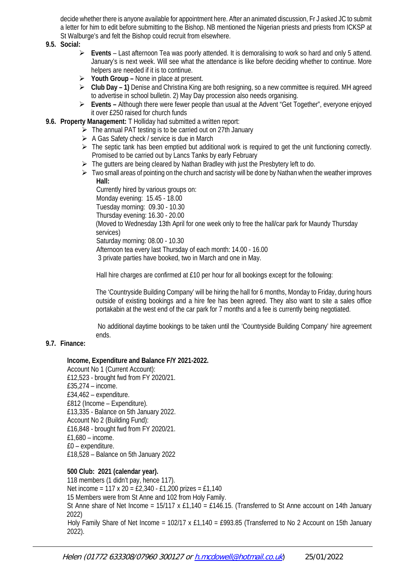decide whether there is anyone available for appointment here. After an animated discussion, Fr J asked JC to submit a letter for him to edit before submitting to the Bishop. NB mentioned the Nigerian priests and priests from ICKSP at St Walburge's and felt the Bishop could recruit from elsewhere.

- **9.5. Social:** 
	- **Events** Last afternoon Tea was poorly attended. It is demoralising to work so hard and only 5 attend. January's is next week. Will see what the attendance is like before deciding whether to continue. More helpers are needed if it is to continue.
	- **Youth Group –** None in place at present.
	- **Club Day – 1)** Denise and Christina King are both resigning, so a new committee is required. MH agreed to advertise in school bulletin. 2) May Day procession also needs organising.
	- **Events –** Although there were fewer people than usual at the Advent "Get Together", everyone enjoyed it over £250 raised for church funds
- **9.6. Property Management:** T Holliday had submitted a written report:
	- $\triangleright$  The annual PAT testing is to be carried out on 27th January
	- $\triangleright$  A Gas Safety check / service is due in March
	- $\triangleright$  The septic tank has been emptied but additional work is required to get the unit functioning correctly. Promised to be carried out by Lancs Tanks by early February
	- $\triangleright$  The gutters are being cleared by Nathan Bradley with just the Presbytery left to do.
	- $\triangleright$  Two small areas of pointing on the church and sacristy will be done by Nathan when the weather improves **Hall:**

Currently hired by various groups on:

Monday evening: 15.45 - 18.00

Tuesday morning: 09.30 - 10.30

Thursday evening: 16.30 - 20.00

(Moved to Wednesday 13th April for one week only to free the hall/car park for Maundy Thursday services)

Saturday morning: 08.00 - 10.30

Afternoon tea every last Thursday of each month: 14.00 - 16.00

3 private parties have booked, two in March and one in May.

Hall hire charges are confirmed at £10 per hour for all bookings except for the following:

The 'Countryside Building Company' will be hiring the hall for 6 months, Monday to Friday, during hours outside of existing bookings and a hire fee has been agreed. They also want to site a sales office portakabin at the west end of the car park for 7 months and a fee is currently being negotiated.

No additional daytime bookings to be taken until the 'Countryside Building Company' hire agreement ends.

#### **9.7. Finance:**

#### **Income, Expenditure and Balance F/Y 2021-2022.**

Account No 1 (Current Account): £12,523 - brought fwd from FY 2020/21. £35,274 – income. £34,462 – expenditure. £812 (Income – Expenditure). £13,335 - Balance on 5th January 2022. Account No 2 (Building Fund): £16,848 - brought fwd from FY 2020/21. £1,680 – income. £0 – expenditure. £18,528 – Balance on 5th January 2022

**500 Club: 2021 (calendar year).** 118 members (1 didn't pay, hence 117). Net income = 117 x 20 = £2,340 - £1,200 prizes = £1,140 15 Members were from St Anne and 102 from Holy Family. St Anne share of Net Income =  $15/117 \times £1,140 = £146.15$ . (Transferred to St Anne account on 14th January 2022) Holy Family Share of Net Income = 102/17 x £1,140 = £993.85 (Transferred to No 2 Account on 15th January 2022).